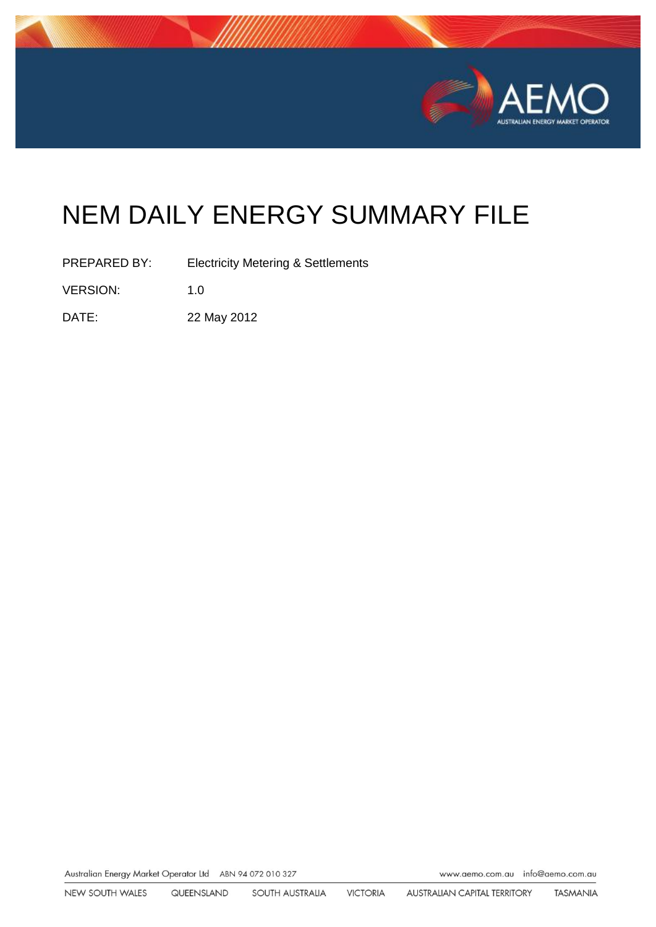

# NEM DAILY ENERGY SUMMARY FILE

PREPARED BY: Electricity Metering & Settlements

VERSION: 1.0

DATE: 22 May 2012

Australian Energy Market Operator Ltd ABN 94 072 010 327

www.aemo.com.au info@aemo.com.au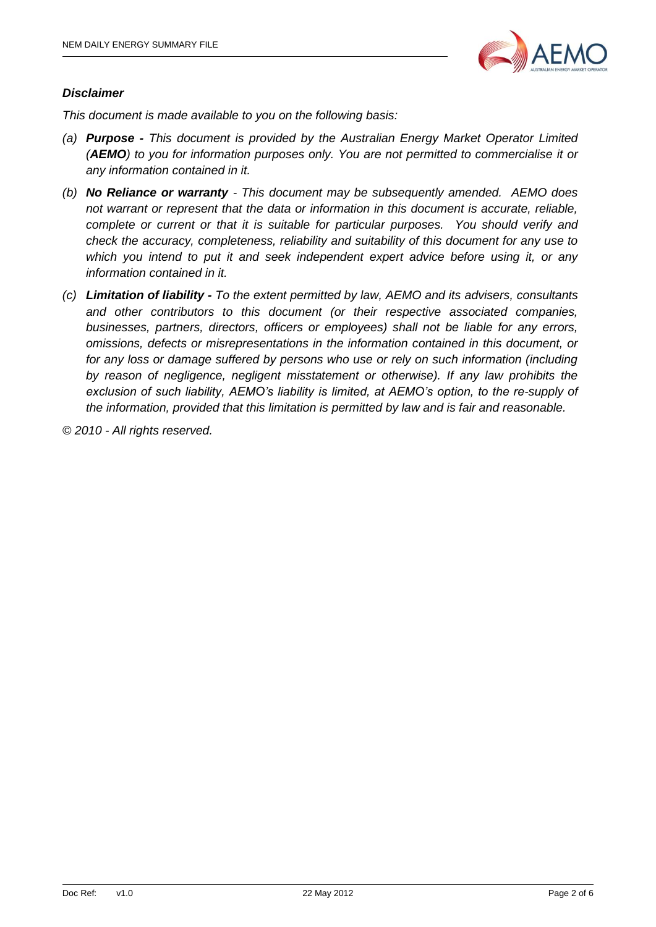

#### *Disclaimer*

*This document is made available to you on the following basis:* 

- *(a) Purpose - This document is provided by the Australian Energy Market Operator Limited (AEMO) to you for information purposes only. You are not permitted to commercialise it or any information contained in it.*
- *(b) No Reliance or warranty - This document may be subsequently amended. AEMO does not warrant or represent that the data or information in this document is accurate, reliable, complete or current or that it is suitable for particular purposes. You should verify and check the accuracy, completeness, reliability and suitability of this document for any use to which you intend to put it and seek independent expert advice before using it, or any information contained in it.*
- *(c) Limitation of liability - To the extent permitted by law, AEMO and its advisers, consultants and other contributors to this document (or their respective associated companies, businesses, partners, directors, officers or employees) shall not be liable for any errors, omissions, defects or misrepresentations in the information contained in this document, or for any loss or damage suffered by persons who use or rely on such information (including by reason of negligence, negligent misstatement or otherwise). If any law prohibits the exclusion of such liability, AEMO's liability is limited, at AEMO's option, to the re-supply of the information, provided that this limitation is permitted by law and is fair and reasonable.*

*© 2010 - All rights reserved.*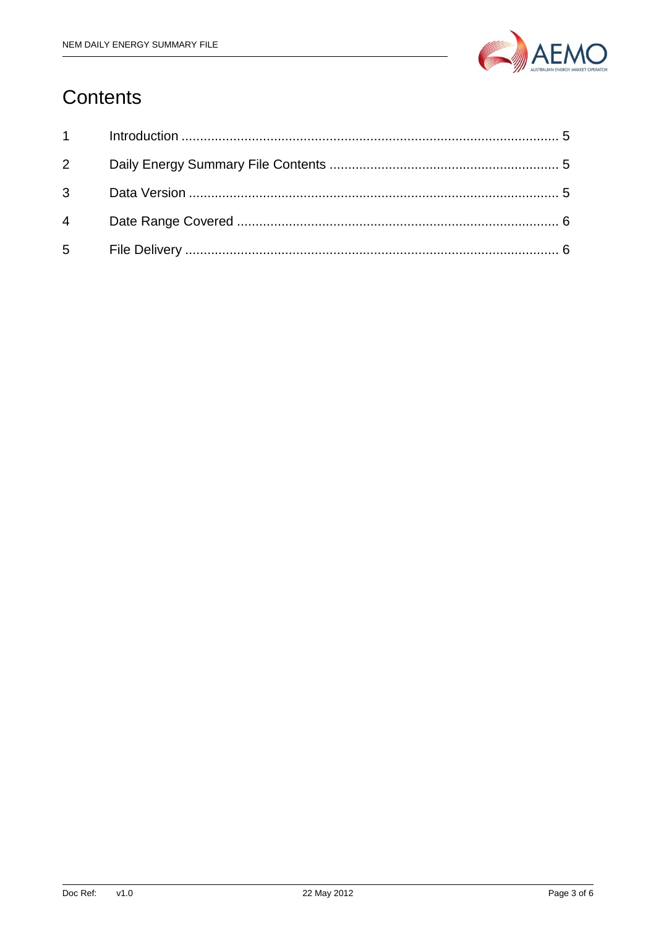

### Contents

| $2^{\sim}$     |  |
|----------------|--|
|                |  |
| $\overline{4}$ |  |
|                |  |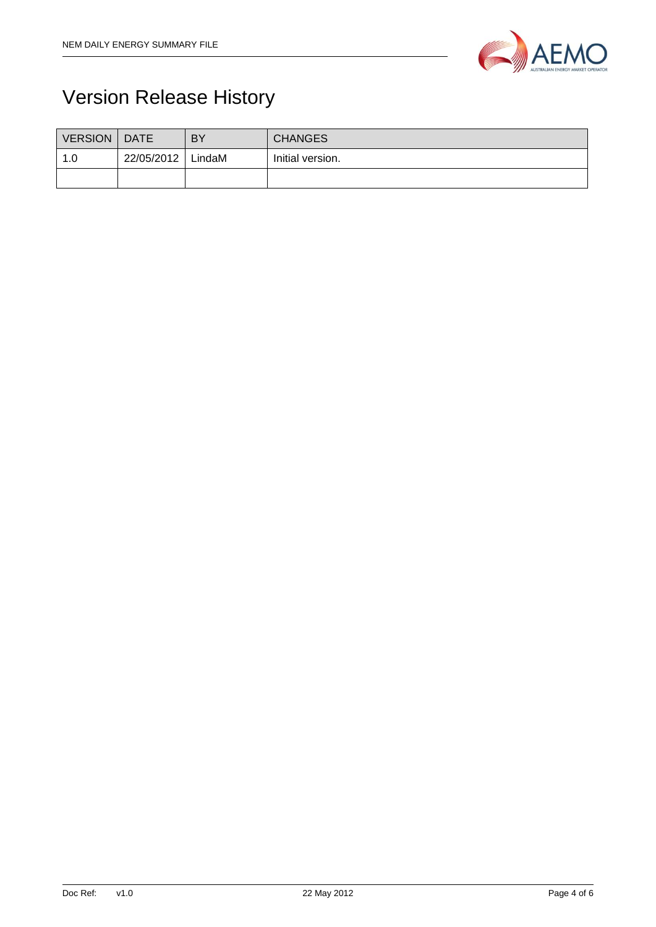

## Version Release History

| <b>VERSION</b> | <b>DATE</b> | <b>BY</b> | <b>CHANGES</b>   |
|----------------|-------------|-----------|------------------|
| 1.0            | 22/05/2012  | LindaM    | Initial version. |
|                |             |           |                  |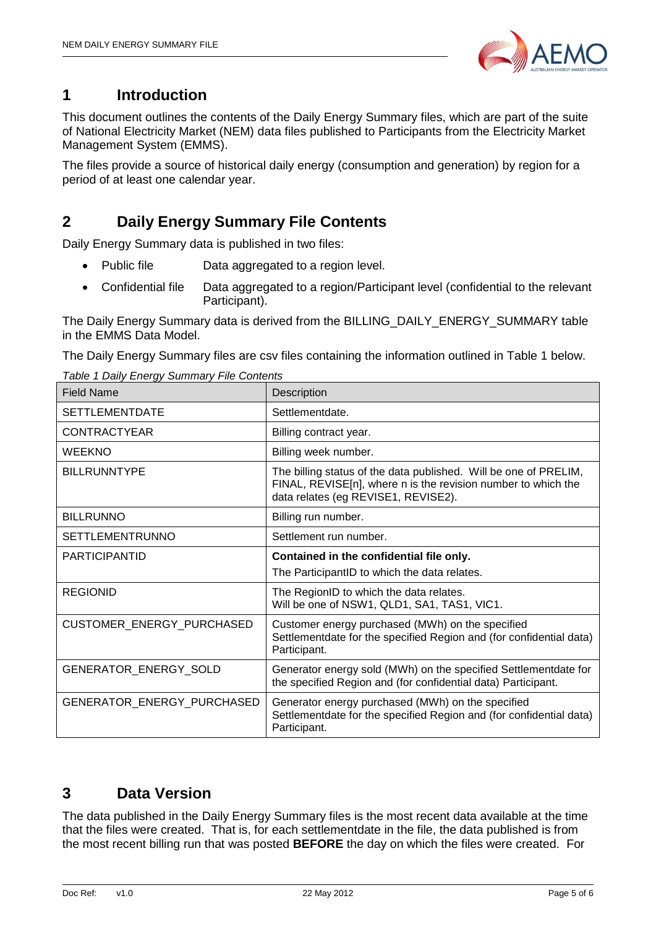

#### <span id="page-4-0"></span>**1 Introduction**

This document outlines the contents of the Daily Energy Summary files, which are part of the suite of National Electricity Market (NEM) data files published to Participants from the Electricity Market Management System (EMMS).

The files provide a source of historical daily energy (consumption and generation) by region for a period of at least one calendar year.

### <span id="page-4-1"></span>**2 Daily Energy Summary File Contents**

Daily Energy Summary data is published in two files:

- Public file **Data aggregated to a region level.**
- Confidential file Data aggregated to a region/Participant level (confidential to the relevant Participant).

The Daily Energy Summary data is derived from the BILLING\_DAILY\_ENERGY\_SUMMARY table in the EMMS Data Model.

The Daily Energy Summary files are csv files containing the information outlined in [Table 1](#page-4-3) below.

| rable T Daily Energy Gammany The Contents<br><b>Field Name</b> | Description                                                                                                                                                              |
|----------------------------------------------------------------|--------------------------------------------------------------------------------------------------------------------------------------------------------------------------|
| <b>SETTLEMENTDATE</b>                                          | Settlementdate.                                                                                                                                                          |
| <b>CONTRACTYEAR</b>                                            | Billing contract year.                                                                                                                                                   |
| WEEKNO                                                         | Billing week number.                                                                                                                                                     |
| <b>BILLRUNNTYPE</b>                                            | The billing status of the data published. Will be one of PRELIM,<br>FINAL, REVISE[n], where n is the revision number to which the<br>data relates (eg REVISE1, REVISE2). |
| <b>BILLRUNNO</b>                                               | Billing run number.                                                                                                                                                      |
| <b>SETTLEMENTRUNNO</b>                                         | Settlement run number.                                                                                                                                                   |
| <b>PARTICIPANTID</b>                                           | Contained in the confidential file only.                                                                                                                                 |
|                                                                | The ParticipantID to which the data relates.                                                                                                                             |
| <b>REGIONID</b>                                                | The RegionID to which the data relates.<br>Will be one of NSW1, QLD1, SA1, TAS1, VIC1.                                                                                   |
| CUSTOMER_ENERGY_PURCHASED                                      | Customer energy purchased (MWh) on the specified<br>Settlementdate for the specified Region and (for confidential data)<br>Participant.                                  |
| GENERATOR_ENERGY_SOLD                                          | Generator energy sold (MWh) on the specified Settlementdate for<br>the specified Region and (for confidential data) Participant.                                         |
| GENERATOR_ENERGY_PURCHASED                                     | Generator energy purchased (MWh) on the specified<br>Settlementdate for the specified Region and (for confidential data)<br>Participant.                                 |

<span id="page-4-3"></span>*Table 1 Daily Energy Summary File Contents*

#### <span id="page-4-2"></span>**3 Data Version**

The data published in the Daily Energy Summary files is the most recent data available at the time that the files were created. That is, for each settlementdate in the file, the data published is from the most recent billing run that was posted **BEFORE** the day on which the files were created. For